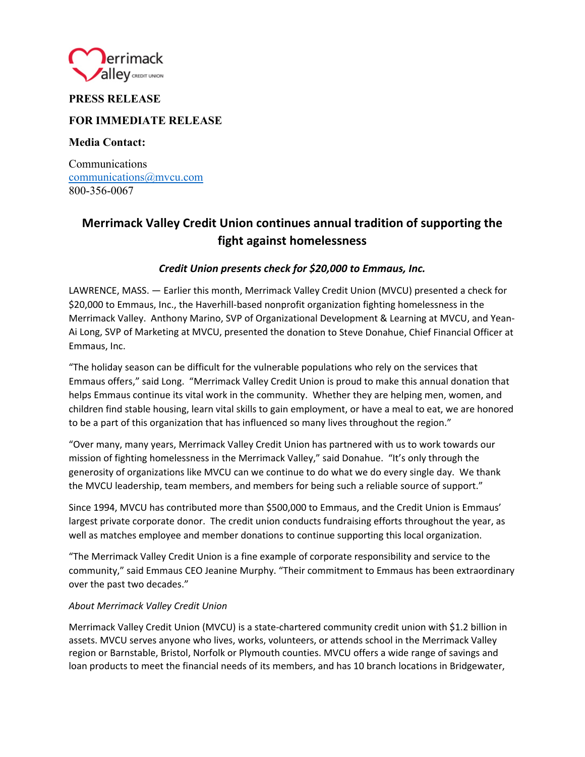

## **PRESS RELEASE**

### **FOR IMMEDIATE RELEASE**

**Media Contact:** 

Communications communications@mvcu.com 800-356-0067

# **Merrimack Valley Credit Union continues annual tradition of supporting the fight against homelessness**

### *Credit Union presents check for \$20,000 to Emmaus, Inc.*

LAWRENCE, MASS. — Earlier this month, Merrimack Valley Credit Union (MVCU) presented a check for \$20,000 to Emmaus, Inc., the Haverhill‐based nonprofit organization fighting homelessness in the Merrimack Valley. Anthony Marino, SVP of Organizational Development & Learning at MVCU, and Yean‐ Ai Long, SVP of Marketing at MVCU, presented the donation to Steve Donahue, Chief Financial Officer at Emmaus, Inc.

"The holiday season can be difficult for the vulnerable populations who rely on the services that Emmaus offers," said Long. "Merrimack Valley Credit Union is proud to make this annual donation that helps Emmaus continue its vital work in the community. Whether they are helping men, women, and children find stable housing, learn vital skills to gain employment, or have a meal to eat, we are honored to be a part of this organization that has influenced so many lives throughout the region."

"Over many, many years, Merrimack Valley Credit Union has partnered with us to work towards our mission of fighting homelessness in the Merrimack Valley," said Donahue. "It's only through the generosity of organizations like MVCU can we continue to do what we do every single day. We thank the MVCU leadership, team members, and members for being such a reliable source of support."

Since 1994, MVCU has contributed more than \$500,000 to Emmaus, and the Credit Union is Emmaus' largest private corporate donor. The credit union conducts fundraising efforts throughout the year, as well as matches employee and member donations to continue supporting this local organization.

"The Merrimack Valley Credit Union is a fine example of corporate responsibility and service to the community," said Emmaus CEO Jeanine Murphy. "Their commitment to Emmaus has been extraordinary over the past two decades."

#### *About Merrimack Valley Credit Union*

Merrimack Valley Credit Union (MVCU) is a state-chartered community credit union with \$1.2 billion in assets. MVCU serves anyone who lives, works, volunteers, or attends school in the Merrimack Valley region or Barnstable, Bristol, Norfolk or Plymouth counties. MVCU offers a wide range of savings and loan products to meet the financial needs of its members, and has 10 branch locations in Bridgewater,